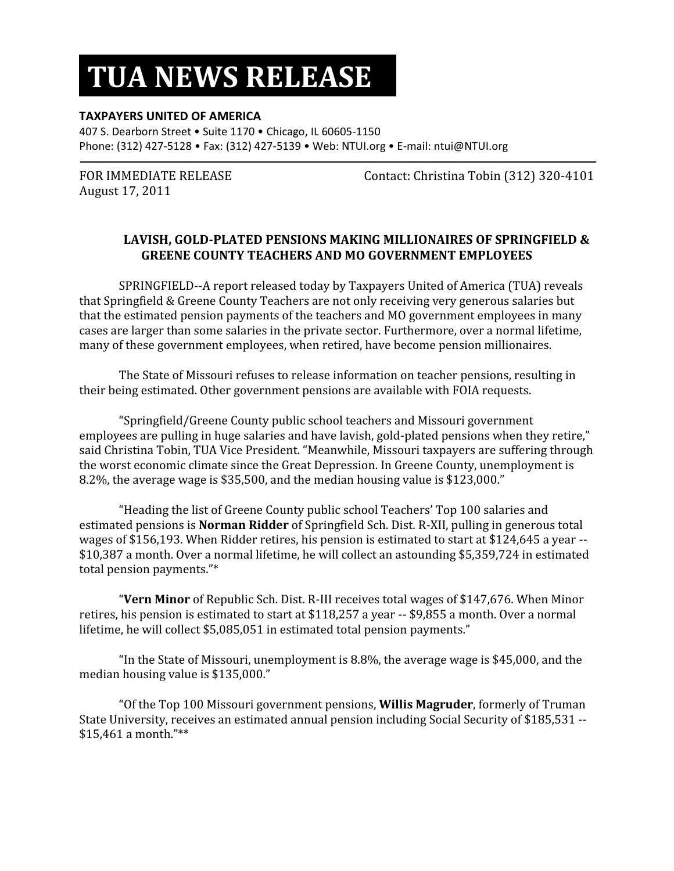## **TUA NEWS RELEASE**

## **TAXPAYERS UNITED OF AMERICA**

407 S. Dearborn Street • Suite 1170 • Chicago, IL 60605-1150 Phone: (312) 427-5128 • Fax: (312) 427-5139 • Web: NTUI.org • E-mail: ntui@NTUI.org

August 17, 2011

FOR IMMEDIATE RELEASE Contact: Christina Tobin (312) 320-4101

## **LAVISH, GOLD-PLATED PENSIONS MAKING MILLIONAIRES OF SPRINGFIELD & GREENE COUNTY TEACHERS AND MO GOVERNMENT EMPLOYEES**

SPRINGFIELD--A report released today by Taxpayers United of America (TUA) reveals that Springfield & Greene County Teachers are not only receiving very generous salaries but that the estimated pension payments of the teachers and MO government employees in many cases are larger than some salaries in the private sector. Furthermore, over a normal lifetime, many of these government employees, when retired, have become pension millionaires.

The State of Missouri refuses to release information on teacher pensions, resulting in their being estimated. Other government pensions are available with FOIA requests.

"Springfield/Greene County public school teachers and Missouri government employees are pulling in huge salaries and have lavish, gold-plated pensions when they retire," said Christina Tobin, TUA Vice President. "Meanwhile, Missouri taxpayers are suffering through the worst economic climate since the Great Depression. In Greene County, unemployment is 8.2%, the average wage is \$35,500, and the median housing value is \$123,000."

"Heading the list of Greene County public school Teachers' Top 100 salaries and estimated pensions is **Norman Ridder** of Springfield Sch. Dist. R-XII, pulling in generous total wages of \$156,193. When Ridder retires, his pension is estimated to start at \$124,645 a year -- \$10,387 a month. Over a normal lifetime, he will collect an astounding \$5,359,724 in estimated total pension payments."\*

"**Vern Minor** of Republic Sch. Dist. R-III receives total wages of \$147,676. When Minor retires, his pension is estimated to start at \$118,257 a year -- \$9,855 a month. Over a normal lifetime, he will collect \$5,085,051 in estimated total pension payments."

"In the State of Missouri, unemployment is 8.8%, the average wage is \$45,000, and the median housing value is \$135,000."

"Of the Top 100 Missouri government pensions, **Willis Magruder**, formerly of Truman State University, receives an estimated annual pension including Social Security of \$185,531 -- \$15,461 a month."\*\*